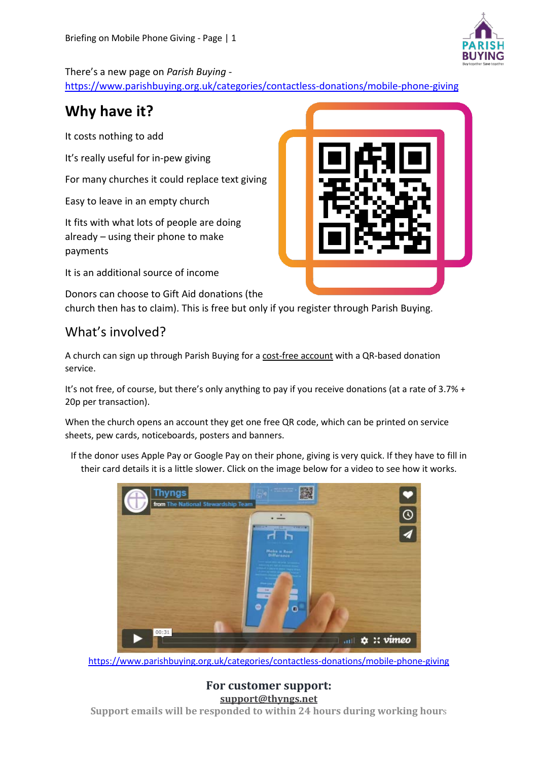

There's a new page on *Parish Buying -*

<https://www.parishbuying.org.uk/categories/contactless-donations/mobile-phone-giving>

## **Why have it?**

It costs nothing to add

It's really useful for in-pew giving

For many churches it could replace text giving

Easy to leave in an empty church

It fits with what lots of people are doing already – using their phone to make payments

It is an additional source of income

Donors can choose to Gift Aid donations (the

church then has to claim). This is free but only if you register through Parish Buying.

### What's involved?

A church can sign up through Parish Buying for a cost-free account with a QR-based donation service.

It's not free, of course, but there's only anything to pay if you receive donations (at a rate of 3.7% + 20p per transaction).

When the church opens an account they get one free QR code, which can be printed on service sheets, pew cards, noticeboards, posters and banners.

If the donor uses Apple Pay or Google Pay on their phone, giving is very quick. If they have to fill in their card details it is a little slower. Click on the image below for a video to see how it works.



<https://www.parishbuying.org.uk/categories/contactless-donations/mobile-phone-giving>

**For customer support: [support@thyngs.net](mailto:support@thyngs.net) Support emails will be responded to within 24 hours during working hour**s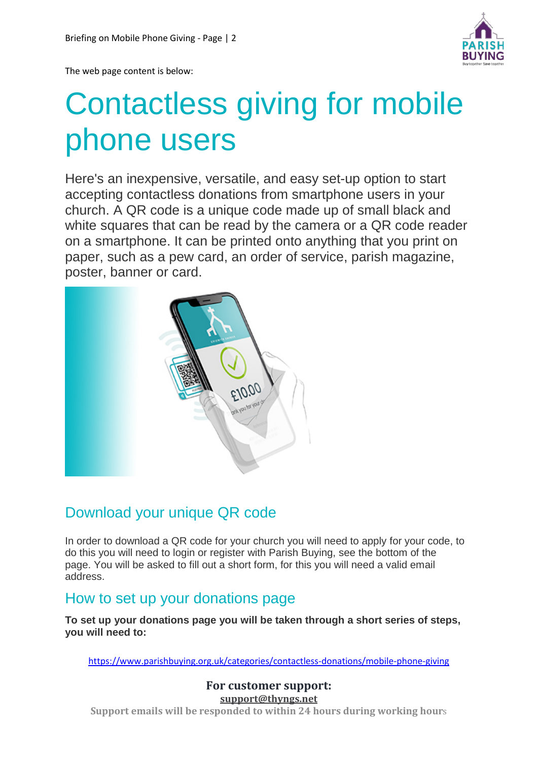

The web page content is below:

# Contactless giving for mobile phone users

Here's an inexpensive, versatile, and easy set-up option to start accepting contactless donations from smartphone users in your church. A QR code is a unique code made up of small black and white squares that can be read by the camera or a QR code reader on a smartphone. It can be printed onto anything that you print on paper, such as a pew card, an order of service, parish magazine, poster, banner or card.



## Download your unique QR code

In order to download a QR code for your church you will need to apply for your code, to do this you will need to login or register with Parish Buying, see the bottom of the page. You will be asked to fill out a short form, for this you will need a valid email address.

## How to set up your donations page

**To set up your donations page you will be taken through a short series of steps, you will need to:**

<https://www.parishbuying.org.uk/categories/contactless-donations/mobile-phone-giving>

**For customer support: [support@thyngs.net](mailto:support@thyngs.net) Support emails will be responded to within 24 hours during working hour**s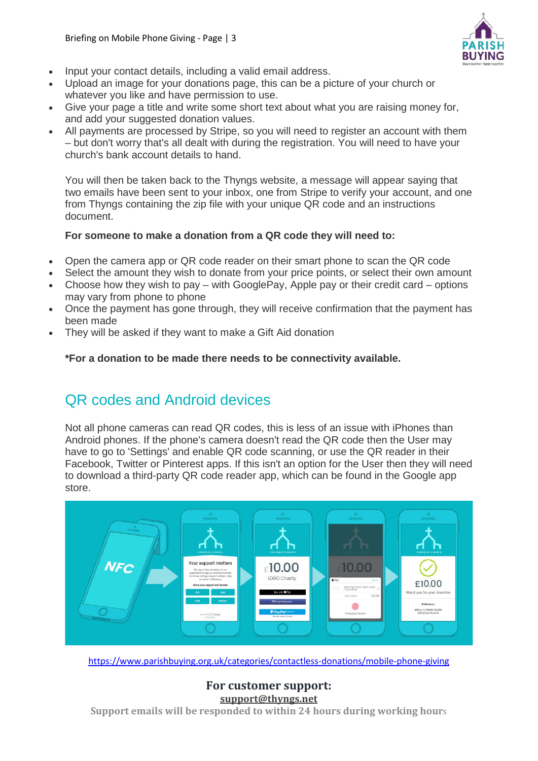

- Input your contact details, including a valid email address.
- Upload an image for your donations page, this can be a picture of your church or whatever you like and have permission to use.
- Give your page a title and write some short text about what you are raising money for, and add your suggested donation values.
- All payments are processed by Stripe, so you will need to register an account with them – but don't worry that's all dealt with during the registration. You will need to have your church's bank account details to hand.

You will then be taken back to the Thyngs website, a message will appear saying that two emails have been sent to your inbox, one from Stripe to verify your account, and one from Thyngs containing the zip file with your unique QR code and an instructions document.

#### **For someone to make a donation from a QR code they will need to:**

- Open the camera app or QR code reader on their smart phone to scan the QR code
- Select the amount they wish to donate from your price points, or select their own amount
- Choose how they wish to pay with GooglePay, Apple pay or their credit card options may vary from phone to phone
- Once the payment has gone through, they will receive confirmation that the payment has been made
- They will be asked if they want to make a Gift Aid donation

#### **\*For a donation to be made there needs to be connectivity available.**

## QR codes and Android devices

Not all phone cameras can read QR codes, this is less of an issue with iPhones than Android phones. If the phone's camera doesn't read the QR code then the User may have to go to 'Settings' and enable QR code scanning, or use the QR reader in their Facebook, Twitter or Pinterest apps. If this isn't an option for the User then they will need to download a third-party QR code reader app, which can be found in the Google app store.



<https://www.parishbuying.org.uk/categories/contactless-donations/mobile-phone-giving>

#### **For customer support: [support@thyngs.net](mailto:support@thyngs.net) Support emails will be responded to within 24 hours during working hour**s